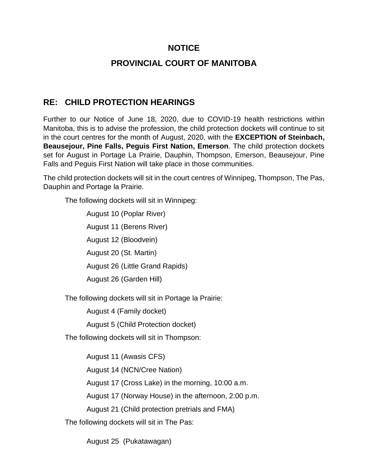## **NOTICE**

## **PROVINCIAL COURT OF MANITOBA**

## **RE: CHILD PROTECTION HEARINGS**

Further to our Notice of June 18, 2020, due to COVID-19 health restrictions within Manitoba, this is to advise the profession, the child protection dockets will continue to sit in the court centres for the month of August, 2020, with the **EXCEPTION of Steinbach, Beausejour, Pine Falls, Peguis First Nation, Emerson**. The child protection dockets set for August in Portage La Prairie, Dauphin, Thompson, Emerson, Beausejour, Pine Falls and Peguis First Nation will take place in those communities.

The child protection dockets will sit in the court centres of Winnipeg, Thompson, The Pas, Dauphin and Portage la Prairie.

The following dockets will sit in Winnipeg:

August 10 (Poplar River) August 11 (Berens River) August 12 (Bloodvein) August 20 (St. Martin) August 26 (Little Grand Rapids) August 26 (Garden Hill)

The following dockets will sit in Portage la Prairie:

August 4 (Family docket)

August 5 (Child Protection docket)

The following dockets will sit in Thompson:

August 11 (Awasis CFS)

August 14 (NCN/Cree Nation)

August 17 (Cross Lake) in the morning, 10:00 a.m.

August 17 (Norway House) in the afternoon, 2:00 p.m.

August 21 (Child protection pretrials and FMA)

The following dockets will sit in The Pas:

August 25 (Pukatawagan)